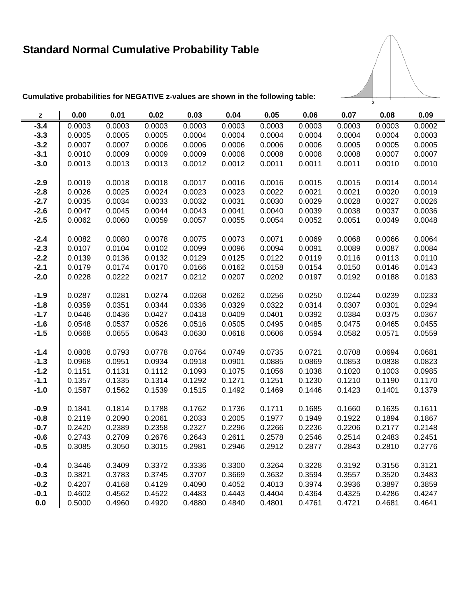## **Standard Normal Cumulative Probability Table**



**Cumulative probabilities for NEGATIVE z-values are shown in the following table:**